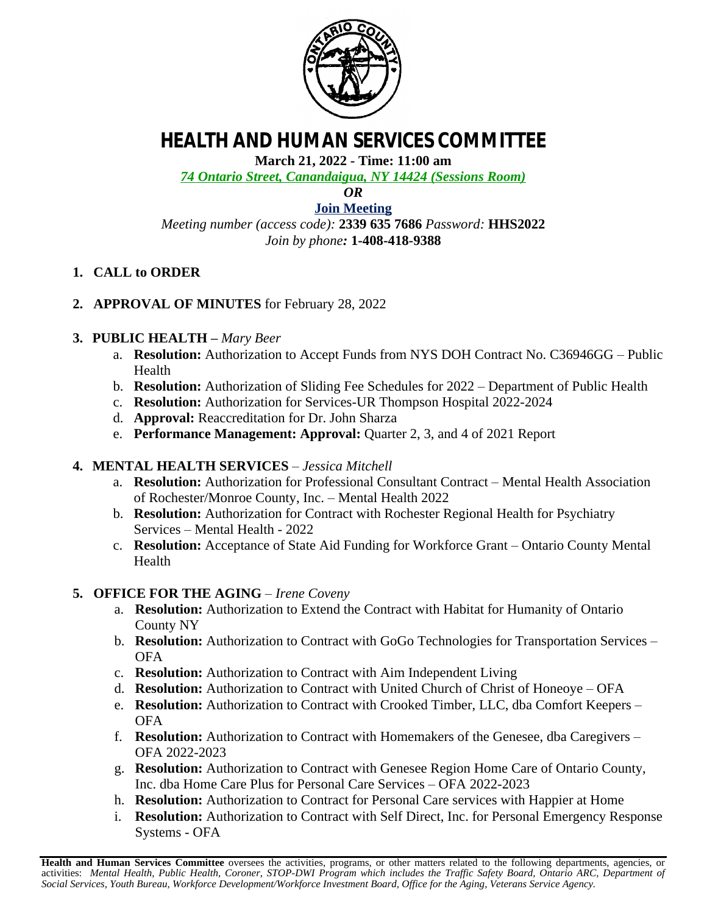

# **HEALTH AND HUMAN SERVICES COMMITTEE**

**March 21, 2022 - Time: 11:00 am**

*74 Ontario Street, Canandaigua, NY 14424 (Sessions Room)*

*OR*

**[Join Meeting](https://ontariocountyny.webex.com/)** *Meeting number (access code):* **2339 635 7686** *Password:* **HHS2022** *Join by phone:* **1-408-418-9388**

- **1. CALL to ORDER**
- **2. APPROVAL OF MINUTES** for February 28, 2022

#### **3. PUBLIC HEALTH –** *Mary Beer*

- a. **Resolution:** Authorization to Accept Funds from NYS DOH Contract No. C36946GG Public Health
- b. **Resolution:** Authorization of Sliding Fee Schedules for 2022 Department of Public Health
- c. **Resolution:** Authorization for Services-UR Thompson Hospital 2022-2024
- d. **Approval:** Reaccreditation for Dr. John Sharza
- e. **Performance Management: Approval:** Quarter 2, 3, and 4 of 2021 Report

## **4. MENTAL HEALTH SERVICES** – *Jessica Mitchell*

- a. **Resolution:** Authorization for Professional Consultant Contract Mental Health Association of Rochester/Monroe County, Inc. – Mental Health 2022
- b. **Resolution:** Authorization for Contract with Rochester Regional Health for Psychiatry Services – Mental Health - 2022
- c. **Resolution:** Acceptance of State Aid Funding for Workforce Grant Ontario County Mental Health

## **5. OFFICE FOR THE AGING** *– Irene Coveny*

- a. **Resolution:** Authorization to Extend the Contract with Habitat for Humanity of Ontario County NY
- b. **Resolution:** Authorization to Contract with GoGo Technologies for Transportation Services OFA
- c. **Resolution:** Authorization to Contract with Aim Independent Living
- d. **Resolution:** Authorization to Contract with United Church of Christ of Honeoye OFA
- e. **Resolution:** Authorization to Contract with Crooked Timber, LLC, dba Comfort Keepers OFA
- f. **Resolution:** Authorization to Contract with Homemakers of the Genesee, dba Caregivers OFA 2022-2023
- g. **Resolution:** Authorization to Contract with Genesee Region Home Care of Ontario County, Inc. dba Home Care Plus for Personal Care Services – OFA 2022-2023
- h. **Resolution:** Authorization to Contract for Personal Care services with Happier at Home
- i. **Resolution:** Authorization to Contract with Self Direct, Inc. for Personal Emergency Response Systems - OFA